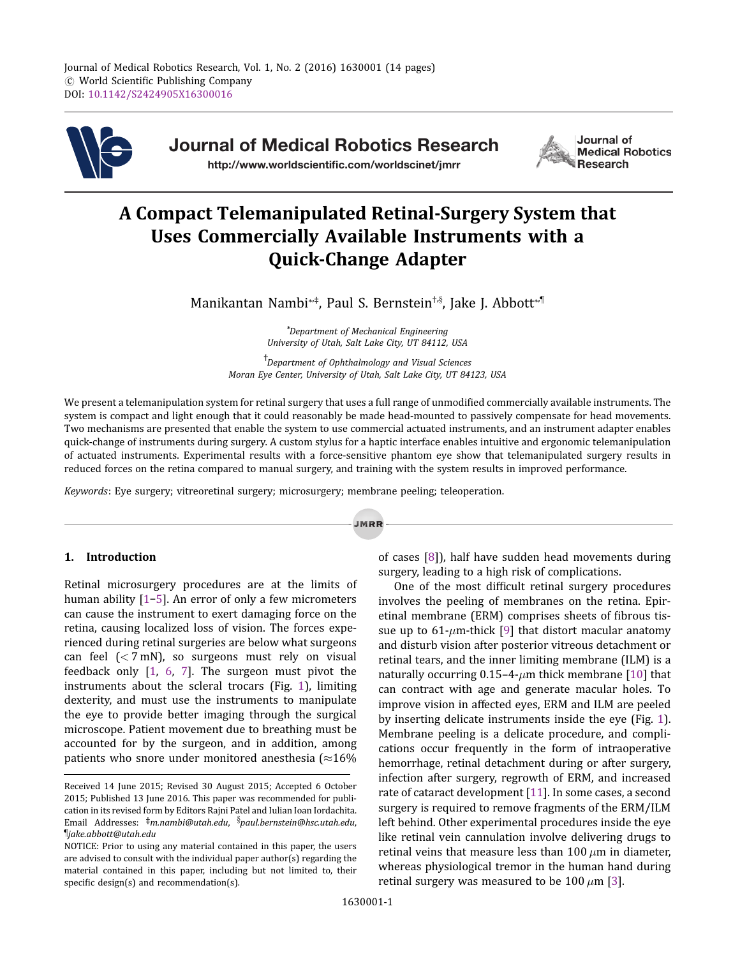



# A Compact Telemanipulated Retinal-Surgery System that Uses Commercially Available Instruments with a Quick-Change Adapter

Manikantan Nambi<sup>\*</sup>\*, Paul S. Bernstein<sup>†,§</sup>, Jake J. Abbott<sup>\*,¶</sup>

\* Department of Mechanical Engineering University of Utah, Salt Lake City, UT 84112, USA

† Department of Ophthalmology and Visual Sciences Moran Eye Center, University of Utah, Salt Lake City, UT 84123, USA

We present a telemanipulation system for retinal surgery that uses a full range of unmodified commercially available instruments. The system is compact and light enough that it could reasonably be made head-mounted to passively compensate for head movements. Two mechanisms are presented that enable the system to use commercial actuated instruments, and an instrument adapter enables quick-change of instruments during surgery. A custom stylus for a haptic interface enables intuitive and ergonomic telemanipulation of actuated instruments. Experimental results with a force-sensitive phantom eye show that telemanipulated surgery results in reduced forces on the retina compared to manual surgery, and training with the system results in improved performance.

**JMRR** 

Keywords: Eye surgery; vitreoretinal surgery; microsurgery; membrane peeling; teleoperation.

# 1. Introduction

Retinal microsurgery procedures are at the limits of human ability  $[1-5]$  $[1-5]$  $[1-5]$  $[1-5]$ . An error of only a few micrometers can cause the instrument to exert damaging force on the retina, causing localized loss of vision. The forces experienced during retinal surgeries are below what surgeons can feel  $( $7 \text{ mN}$ ), so surgeons must rely on visual$ feedback only [[1](#page-12-0), [6](#page-12-0), [7](#page-12-0)]. The surgeon must pivot the instruments about the scleral trocars (Fig. [1](#page-1-0)), limiting dexterity, and must use the instruments to manipulate the eye to provide better imaging through the surgical microscope. Patient movement due to breathing must be accounted for by the surgeon, and in addition, among patients who snore under monitored anesthesia ( $\approx$ 16%)

of cases [\[8\]](#page-12-0)), half have sudden head movements during surgery, leading to a high risk of complications.

One of the most difficult retinal surgery procedures involves the peeling of membranes on the retina. Epiretinal membrane (ERM) comprises sheets of fibrous tissue up to  $61-\mu$ m-thick [[9](#page-12-0)] that distort macular anatomy and disturb vision after posterior vitreous detachment or retinal tears, and the inner limiting membrane (ILM) is a naturally occurring 0.15–4- $\mu$ m thick membrane [\[10](#page-12-0)] that can contract with age and generate macular holes. To improve vision in affected eyes, ERM and ILM are peeled by inserting delicate instruments inside the eye (Fig. [1](#page-1-0)). Membrane peeling is a delicate procedure, and complications occur frequently in the form of intraoperative hemorrhage, retinal detachment during or after surgery, infection after surgery, regrowth of ERM, and increased rate of cataract development [[11\]](#page-12-0). In some cases, a second surgery is required to remove fragments of the ERM/ILM left behind. Other experimental procedures inside the eye like retinal vein cannulation involve delivering drugs to retinal veins that measure less than 100  $\mu$ m in diameter, whereas physiological tremor in the human hand during retinal surgery was measured to be 100  $\mu$ m [\[3](#page-12-0)].

Received 14 June 2015; Revised 30 August 2015; Accepted 6 October 2015; Published 13 June 2016. This paper was recommended for publication in its revised form by Editors Rajni Patel and Iulian Ioan Iordachita. Email Addresses: ‡m.nambi@utah.edu, <sup>§</sup>paul.bernstein@hsc.utah.edu, ¶jake.abbott@utah.edu

NOTICE: Prior to using any material contained in this paper, the users are advised to consult with the individual paper author(s) regarding the material contained in this paper, including but not limited to, their specific design(s) and recommendation(s).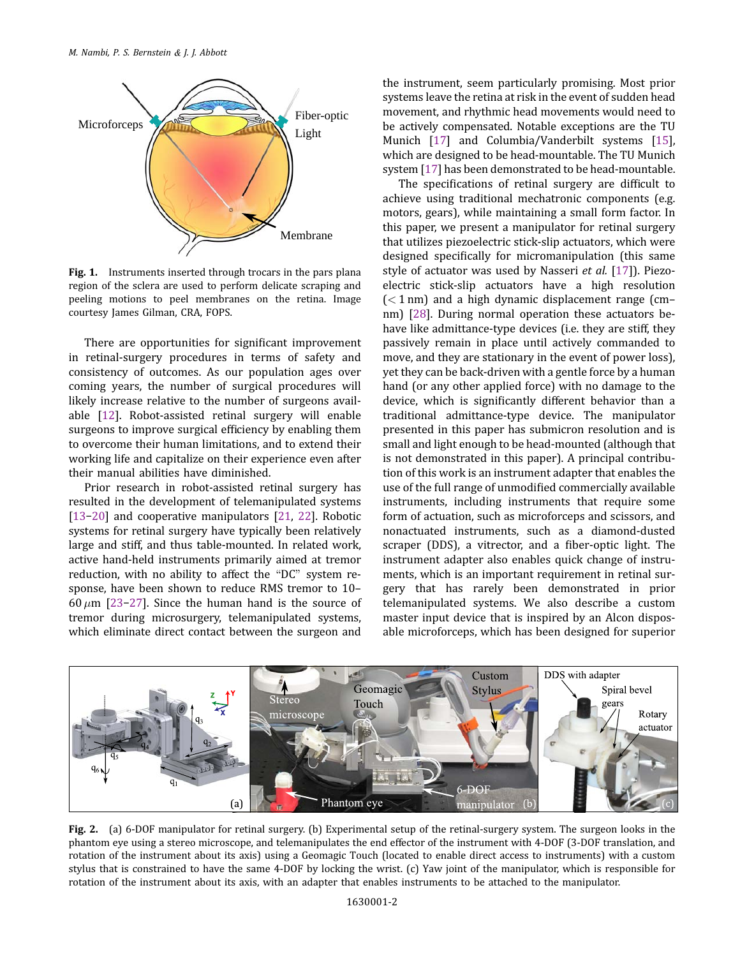<span id="page-1-0"></span>

Fig. 1. Instruments inserted through trocars in the pars plana region of the sclera are used to perform delicate scraping and peeling motions to peel membranes on the retina. Image courtesy James Gilman, CRA, FOPS.

There are opportunities for significant improvement in retinal-surgery procedures in terms of safety and consistency of outcomes. As our population ages over coming years, the number of surgical procedures will likely increase relative to the number of surgeons available [\[12](#page-12-0)]. Robot-assisted retinal surgery will enable surgeons to improve surgical efficiency by enabling them to overcome their human limitations, and to extend their working life and capitalize on their experience even after their manual abilities have diminished.

Prior research in robot-assisted retinal surgery has resulted in the development of telemanipulated systems [\[13](#page-12-0)–[20](#page-12-0)] and cooperative manipulators [\[21](#page-12-0), [22](#page-12-0)]. Robotic systems for retinal surgery have typically been relatively large and stiff, and thus table-mounted. In related work, active hand-held instruments primarily aimed at tremor reduction, with no ability to affect the "DC" system response, have been shown to reduce RMS tremor to 10– 60  $\mu$ m [\[23](#page-12-0)-[27](#page-13-0)]. Since the human hand is the source of tremor during microsurgery, telemanipulated systems, which eliminate direct contact between the surgeon and

the instrument, seem particularly promising. Most prior systems leave the retina at risk in the event of sudden head movement, and rhythmic head movements would need to be actively compensated. Notable exceptions are the TU Munich [[17](#page-12-0)] and Columbia/Vanderbilt systems [\[15\]](#page-12-0), which are designed to be head-mountable. The TU Munich system [\[17](#page-12-0)] has been demonstrated to be head-mountable.

The specifications of retinal surgery are difficult to achieve using traditional mechatronic components (e.g. motors, gears), while maintaining a small form factor. In this paper, we present a manipulator for retinal surgery that utilizes piezoelectric stick-slip actuators, which were designed specifically for micromanipulation (this same style of actuator was used by Nasseri et al. [\[17](#page-12-0)]). Piezoelectric stick-slip actuators have a high resolution  $(< 1$  nm) and a high dynamic displacement range (cmnm) [\[28](#page-13-0)]. During normal operation these actuators behave like admittance-type devices (i.e. they are stiff, they passively remain in place until actively commanded to move, and they are stationary in the event of power loss), yet they can be back-driven with a gentle force by a human hand (or any other applied force) with no damage to the device, which is significantly different behavior than a traditional admittance-type device. The manipulator presented in this paper has submicron resolution and is small and light enough to be head-mounted (although that is not demonstrated in this paper). A principal contribution of this work is an instrument adapter that enables the use of the full range of unmodified commercially available instruments, including instruments that require some form of actuation, such as microforceps and scissors, and nonactuated instruments, such as a diamond-dusted scraper (DDS), a vitrector, and a fiber-optic light. The instrument adapter also enables quick change of instruments, which is an important requirement in retinal surgery that has rarely been demonstrated in prior telemanipulated systems. We also describe a custom master input device that is inspired by an Alcon disposable microforceps, which has been designed for superior



Fig. 2. (a) 6-DOF manipulator for retinal surgery. (b) Experimental setup of the retinal-surgery system. The surgeon looks in the phantom eye using a stereo microscope, and telemanipulates the end effector of the instrument with 4-DOF (3-DOF translation, and rotation of the instrument about its axis) using a Geomagic Touch (located to enable direct access to instruments) with a custom stylus that is constrained to have the same 4-DOF by locking the wrist. (c) Yaw joint of the manipulator, which is responsible for rotation of the instrument about its axis, with an adapter that enables instruments to be attached to the manipulator.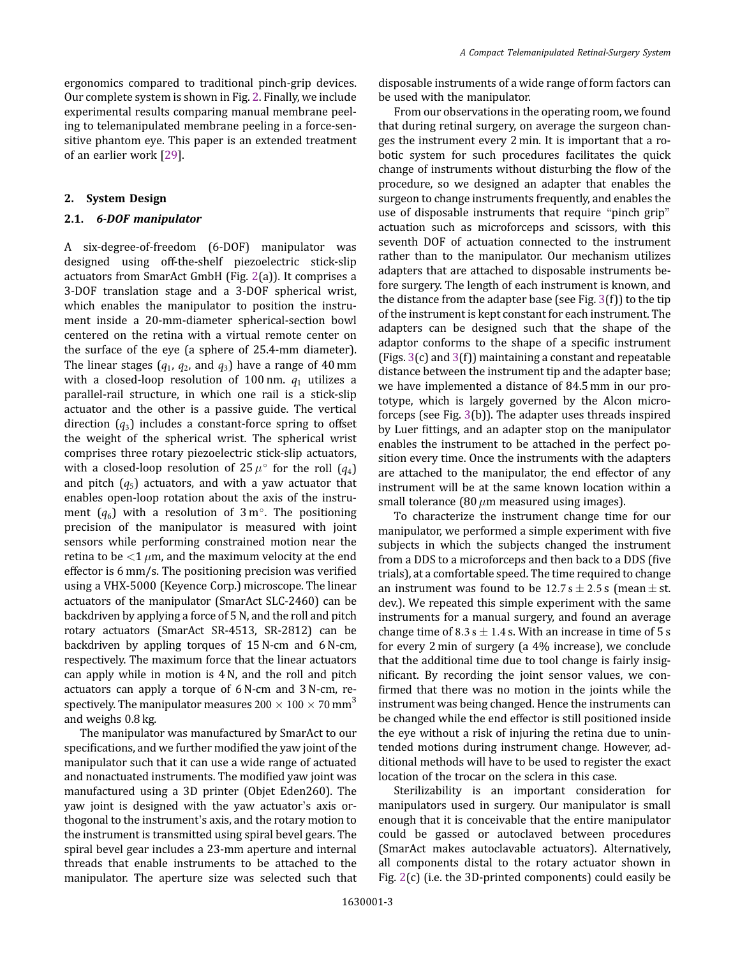ergonomics compared to traditional pinch-grip devices. Our complete system is shown in Fig. [2](#page-1-0). Finally, we include experimental results comparing manual membrane peeling to telemanipulated membrane peeling in a force-sensitive phantom eye. This paper is an extended treatment of an earlier work [\[29](#page-13-0)].

# 2. System Design

# 2.1. 6-DOF manipulator

A six-degree-of-freedom (6-DOF) manipulator was designed using off-the-shelf piezoelectric stick-slip actuators from SmarAct GmbH (Fig. [2\(](#page-1-0)a)). It comprises a 3-DOF translation stage and a 3-DOF spherical wrist, which enables the manipulator to position the instrument inside a 20-mm-diameter spherical-section bowl centered on the retina with a virtual remote center on the surface of the eye (a sphere of 25.4-mm diameter). The linear stages  $(q_1, q_2,$  and  $q_3)$  have a range of 40 mm with a closed-loop resolution of 100 nm.  $q_1$  utilizes a parallel-rail structure, in which one rail is a stick-slip actuator and the other is a passive guide. The vertical direction  $(q_3)$  includes a constant-force spring to offset the weight of the spherical wrist. The spherical wrist comprises three rotary piezoelectric stick-slip actuators, with a closed-loop resolution of 25  $\mu^{\circ}$  for the roll  $(q_4)$ and pitch  $(q_5)$  actuators, and with a yaw actuator that enables open-loop rotation about the axis of the instrument  $(q_6)$  with a resolution of  $3 \text{ m}^{\circ}$ . The positioning precision of the manipulator is measured with joint sensors while performing constrained motion near the retina to be  $<$ 1  $\mu$ m, and the maximum velocity at the end effector is 6 mm/s. The positioning precision was verified using a VHX-5000 (Keyence Corp.) microscope. The linear actuators of the manipulator (SmarAct SLC-2460) can be backdriven by applying a force of 5 N, and the roll and pitch rotary actuators (SmarAct SR-4513, SR-2812) can be backdriven by appling torques of 15 N-cm and 6 N-cm, respectively. The maximum force that the linear actuators can apply while in motion is 4 N, and the roll and pitch actuators can apply a torque of 6 N-cm and 3 N-cm, respectively. The manipulator measures  $200 \times 100 \times 70$  mm<sup>3</sup> and weighs 0.8 kg.

The manipulator was manufactured by SmarAct to our specifications, and we further modified the yaw joint of the manipulator such that it can use a wide range of actuated and nonactuated instruments. The modified yaw joint was manufactured using a 3D printer (Objet Eden260). The yaw joint is designed with the yaw actuator's axis orthogonal to the instrument's axis, and the rotary motion to the instrument is transmitted using spiral bevel gears. The spiral bevel gear includes a 23-mm aperture and internal threads that enable instruments to be attached to the manipulator. The aperture size was selected such that disposable instruments of a wide range of form factors can be used with the manipulator.

From our observations in the operating room, we found that during retinal surgery, on average the surgeon changes the instrument every 2 min. It is important that a robotic system for such procedures facilitates the quick change of instruments without disturbing the flow of the procedure, so we designed an adapter that enables the surgeon to change instruments frequently, and enables the use of disposable instruments that require "pinch grip" actuation such as microforceps and scissors, with this seventh DOF of actuation connected to the instrument rather than to the manipulator. Our mechanism utilizes adapters that are attached to disposable instruments before surgery. The length of each instrument is known, and the distance from the adapter base (see Fig. [3\(](#page-3-0)f)) to the tip of the instrument is kept constant for each instrument. The adapters can be designed such that the shape of the adaptor conforms to the shape of a specific instrument (Figs. [3](#page-3-0)(c) and [3\(](#page-3-0)f)) maintaining a constant and repeatable distance between the instrument tip and the adapter base; we have implemented a distance of 84.5 mm in our prototype, which is largely governed by the Alcon microforceps (see Fig. [3\(](#page-3-0)b)). The adapter uses threads inspired by Luer fittings, and an adapter stop on the manipulator enables the instrument to be attached in the perfect position every time. Once the instruments with the adapters are attached to the manipulator, the end effector of any instrument will be at the same known location within a small tolerance (80  $\mu$ m measured using images).

To characterize the instrument change time for our manipulator, we performed a simple experiment with five subjects in which the subjects changed the instrument from a DDS to a microforceps and then back to a DDS (five trials), at a comfortable speed. The time required to change an instrument was found to be  $12.7 s \pm 2.5 s$  (mean  $\pm st$ . dev.). We repeated this simple experiment with the same instruments for a manual surgery, and found an average change time of  $8.3 s \pm 1.4 s$ . With an increase in time of 5 s for every 2 min of surgery (a 4% increase), we conclude that the additional time due to tool change is fairly insignificant. By recording the joint sensor values, we confirmed that there was no motion in the joints while the instrument was being changed. Hence the instruments can be changed while the end effector is still positioned inside the eye without a risk of injuring the retina due to unintended motions during instrument change. However, additional methods will have to be used to register the exact location of the trocar on the sclera in this case.

Sterilizability is an important consideration for manipulators used in surgery. Our manipulator is small enough that it is conceivable that the entire manipulator could be gassed or autoclaved between procedures (SmarAct makes autoclavable actuators). Alternatively, all components distal to the rotary actuator shown in Fig. [2](#page-1-0)(c) (i.e. the 3D-printed components) could easily be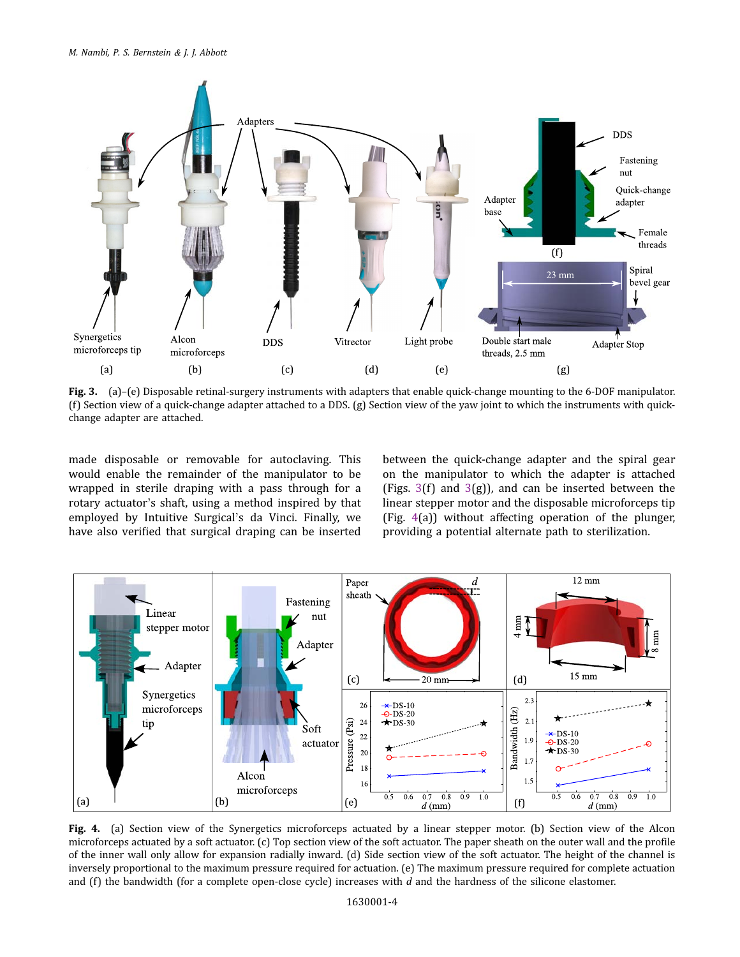<span id="page-3-0"></span>

Fig. 3. (a)–(e) Disposable retinal-surgery instruments with adapters that enable quick-change mounting to the 6-DOF manipulator. (f) Section view of a quick-change adapter attached to a DDS. (g) Section view of the yaw joint to which the instruments with quickchange adapter are attached.

made disposable or removable for autoclaving. This would enable the remainder of the manipulator to be wrapped in sterile draping with a pass through for a rotary actuator's shaft, using a method inspired by that employed by Intuitive Surgical's da Vinci. Finally, we have also verified that surgical draping can be inserted between the quick-change adapter and the spiral gear on the manipulator to which the adapter is attached (Figs.  $3(f)$  and  $3(g)$ ), and can be inserted between the linear stepper motor and the disposable microforceps tip (Fig. 4(a)) without affecting operation of the plunger, providing a potential alternate path to sterilization.



Fig. 4. (a) Section view of the Synergetics microforceps actuated by a linear stepper motor. (b) Section view of the Alcon microforceps actuated by a soft actuator. (c) Top section view of the soft actuator. The paper sheath on the outer wall and the profile of the inner wall only allow for expansion radially inward. (d) Side section view of the soft actuator. The height of the channel is inversely proportional to the maximum pressure required for actuation. (e) The maximum pressure required for complete actuation and (f) the bandwidth (for a complete open-close cycle) increases with  $d$  and the hardness of the silicone elastomer.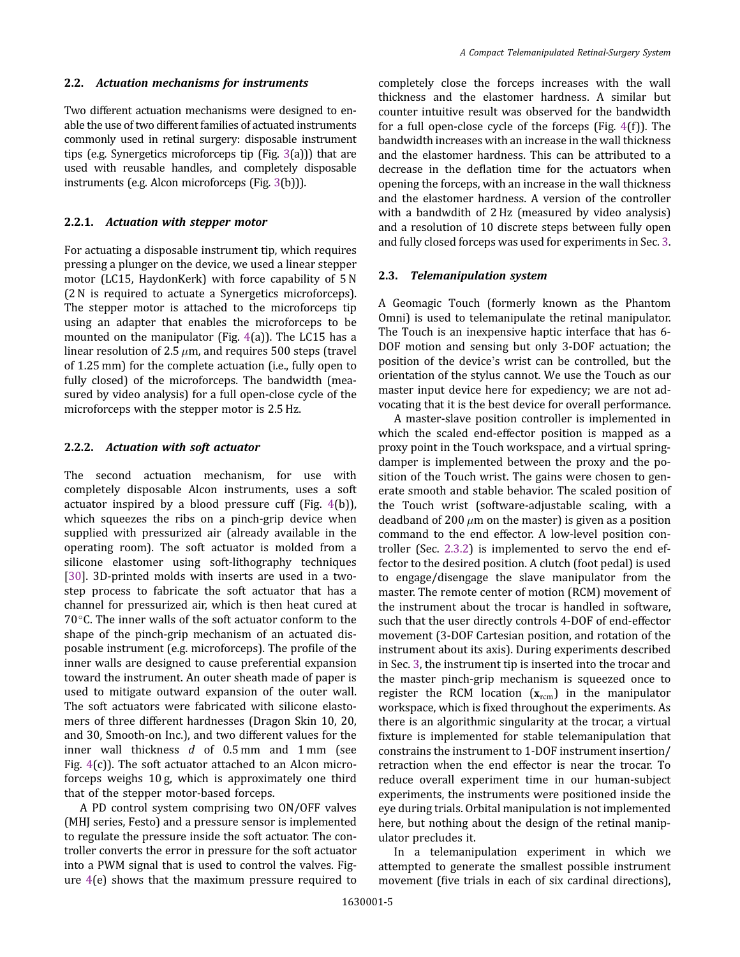### 2.2. Actuation mechanisms for instruments

Two different actuation mechanisms were designed to enable the use of two different families of actuated instruments commonly used in retinal surgery: disposable instrument tips (e.g. Synergetics microforceps tip (Fig. [3\(](#page-3-0)a))) that are used with reusable handles, and completely disposable instruments (e.g. Alcon microforceps (Fig. [3](#page-3-0)(b))).

#### 2.2.1. Actuation with stepper motor

For actuating a disposable instrument tip, which requires pressing a plunger on the device, we used a linear stepper motor (LC15, HaydonKerk) with force capability of 5 N (2 N is required to actuate a Synergetics microforceps). The stepper motor is attached to the microforceps tip using an adapter that enables the microforceps to be mounted on the manipulator (Fig. [4](#page-3-0)(a)). The LC15 has a linear resolution of 2.5  $\mu$ m, and requires 500 steps (travel of 1.25 mm) for the complete actuation (i.e., fully open to fully closed) of the microforceps. The bandwidth (measured by video analysis) for a full open-close cycle of the microforceps with the stepper motor is 2.5 Hz.

## 2.2.2. Actuation with soft actuator

The second actuation mechanism, for use with completely disposable Alcon instruments, uses a soft actuator inspired by a blood pressure cuff (Fig. [4\(](#page-3-0)b)), which squeezes the ribs on a pinch-grip device when supplied with pressurized air (already available in the operating room). The soft actuator is molded from a silicone elastomer using soft-lithography techniques [[30\]](#page-13-0). 3D-printed molds with inserts are used in a twostep process to fabricate the soft actuator that has a channel for pressurized air, which is then heat cured at  $70^{\circ}$ C. The inner walls of the soft actuator conform to the shape of the pinch-grip mechanism of an actuated disposable instrument (e.g. microforceps). The profile of the inner walls are designed to cause preferential expansion toward the instrument. An outer sheath made of paper is used to mitigate outward expansion of the outer wall. The soft actuators were fabricated with silicone elastomers of three different hardnesses (Dragon Skin 10, 20, and 30, Smooth-on Inc.), and two different values for the inner wall thickness  $d$  of 0.5 mm and 1 mm (see Fig. [4\(](#page-3-0)c)). The soft actuator attached to an Alcon microforceps weighs 10 g, which is approximately one third that of the stepper motor-based forceps.

A PD control system comprising two ON/OFF valves (MHJ series, Festo) and a pressure sensor is implemented to regulate the pressure inside the soft actuator. The controller converts the error in pressure for the soft actuator into a PWM signal that is used to control the valves. Figure [4](#page-3-0)(e) shows that the maximum pressure required to completely close the forceps increases with the wall thickness and the elastomer hardness. A similar but counter intuitive result was observed for the bandwidth for a full open-close cycle of the forceps (Fig.  $4(f)$  $4(f)$ ). The bandwidth increases with an increase in the wall thickness and the elastomer hardness. This can be attributed to a decrease in the deflation time for the actuators when opening the forceps, with an increase in the wall thickness and the elastomer hardness. A version of the controller with a bandwdith of 2 Hz (measured by video analysis) and a resolution of 10 discrete steps between fully open and fully closed forceps was used for experiments in Sec. [3](#page-6-0).

## 2.3. Telemanipulation system

A Geomagic Touch (formerly known as the Phantom Omni) is used to telemanipulate the retinal manipulator. The Touch is an inexpensive haptic interface that has 6- DOF motion and sensing but only 3-DOF actuation; the position of the device's wrist can be controlled, but the orientation of the stylus cannot. We use the Touch as our master input device here for expediency; we are not advocating that it is the best device for overall performance.

A master-slave position controller is implemented in which the scaled end-effector position is mapped as a proxy point in the Touch workspace, and a virtual springdamper is implemented between the proxy and the position of the Touch wrist. The gains were chosen to generate smooth and stable behavior. The scaled position of the Touch wrist (software-adjustable scaling, with a deadband of 200  $\mu$ m on the master) is given as a position command to the end effector. A low-level position controller (Sec. [2.3.2](#page-5-0)) is implemented to servo the end effector to the desired position. A clutch (foot pedal) is used to engage/disengage the slave manipulator from the master. The remote center of motion (RCM) movement of the instrument about the trocar is handled in software, such that the user directly controls 4-DOF of end-effector movement (3-DOF Cartesian position, and rotation of the instrument about its axis). During experiments described in Sec. [3](#page-6-0), the instrument tip is inserted into the trocar and the master pinch-grip mechanism is squeezed once to register the RCM location  $(x_{\text{rcm}})$  in the manipulator workspace, which is fixed throughout the experiments. As there is an algorithmic singularity at the trocar, a virtual fixture is implemented for stable telemanipulation that constrains the instrument to 1-DOF instrument insertion/ retraction when the end effector is near the trocar. To reduce overall experiment time in our human-subject experiments, the instruments were positioned inside the eye during trials. Orbital manipulation is not implemented here, but nothing about the design of the retinal manipulator precludes it.

In a telemanipulation experiment in which we attempted to generate the smallest possible instrument movement (five trials in each of six cardinal directions),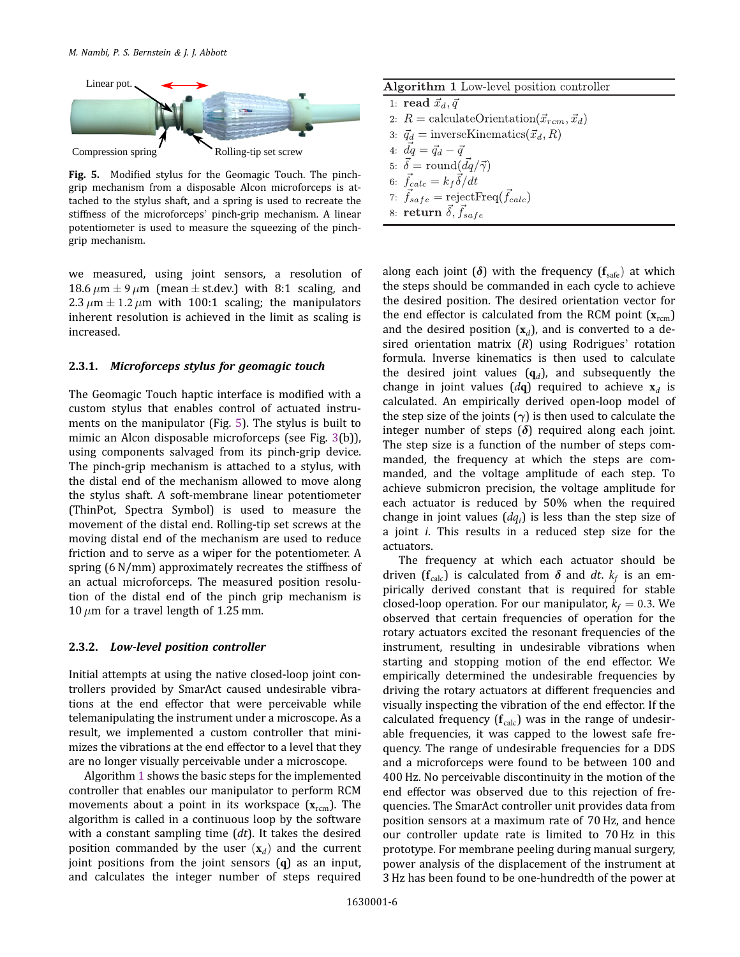<span id="page-5-0"></span>

Fig. 5. Modified stylus for the Geomagic Touch. The pinchgrip mechanism from a disposable Alcon microforceps is attached to the stylus shaft, and a spring is used to recreate the stiffness of the microforceps' pinch-grip mechanism. A linear potentiometer is used to measure the squeezing of the pinchgrip mechanism.

we measured, using joint sensors, a resolution of 18.6  $\mu$ m  $\pm$  9  $\mu$ m (mean  $\pm$  st.dev.) with 8:1 scaling, and 2.3  $\mu$ m  $\pm$  1.2  $\mu$ m with 100:1 scaling; the manipulators inherent resolution is achieved in the limit as scaling is increased.

# 2.3.1. Microforceps stylus for geomagic touch

The Geomagic Touch haptic interface is modified with a custom stylus that enables control of actuated instruments on the manipulator (Fig. 5). The stylus is built to mimic an Alcon disposable microforceps (see Fig. [3](#page-3-0)(b)), using components salvaged from its pinch-grip device. The pinch-grip mechanism is attached to a stylus, with the distal end of the mechanism allowed to move along the stylus shaft. A soft-membrane linear potentiometer (ThinPot, Spectra Symbol) is used to measure the movement of the distal end. Rolling-tip set screws at the moving distal end of the mechanism are used to reduce friction and to serve as a wiper for the potentiometer. A spring (6 N/mm) approximately recreates the stiffness of an actual microforceps. The measured position resolution of the distal end of the pinch grip mechanism is 10  $\mu$ m for a travel length of 1.25 mm.

#### 2.3.2. Low-level position controller

Initial attempts at using the native closed-loop joint controllers provided by SmarAct caused undesirable vibrations at the end effector that were perceivable while telemanipulating the instrument under a microscope. As a result, we implemented a custom controller that minimizes the vibrations at the end effector to a level that they are no longer visually perceivable under a microscope.

Algorithm 1 shows the basic steps for the implemented controller that enables our manipulator to perform RCM movements about a point in its workspace  $(x_{\text{rcm}})$ . The algorithm is called in a continuous loop by the software with a constant sampling time  $(dt)$ . It takes the desired position commanded by the user  $(\mathbf{x}_d)$  and the current joint positions from the joint sensors  $(q)$  as an input, and calculates the integer number of steps required

| Algorithm 1 Low-level position controller |  |
|-------------------------------------------|--|
|-------------------------------------------|--|

- 1: read  $\vec{x}_d, \vec{q}$ 2:  $R = \text{calculateOrientation}(\vec{x}_{rem}, \vec{x}_d)$ 3:  $\vec{q}_d$  = inverseKinematics( $\vec{x}_d$ , R) 4:  $\vec{dq} = \vec{q}_d - \vec{q}$ 5:  $\vec{\delta} = \text{round}(\vec{dq}/\vec{\gamma})$ 6:  $\vec{f}_{calc} = k_f \vec{\delta}/dt$
- 
- 7:  $\vec{f}_{safe}$  = rejectFreq( $\vec{f}_{calc}$ )<br>8: **return**  $\vec{\delta}, \vec{f}_{safe}$
- 

along each joint ( $\delta$ ) with the frequency ( $f_{\text{safe}}$ ) at which the steps should be commanded in each cycle to achieve the desired position. The desired orientation vector for the end effector is calculated from the RCM point  $(x_{\text{rcm}})$ and the desired position  $(x_d)$ , and is converted to a desired orientation matrix  $(R)$  using Rodrigues' rotation formula. Inverse kinematics is then used to calculate the desired joint values  $(q_d)$ , and subsequently the change in joint values  $(d\mathbf{q})$  required to achieve  $\mathbf{x}_d$  is calculated. An empirically derived open-loop model of the step size of the joints  $(\gamma)$  is then used to calculate the integer number of steps  $(\delta)$  required along each joint. The step size is a function of the number of steps commanded, the frequency at which the steps are commanded, and the voltage amplitude of each step. To achieve submicron precision, the voltage amplitude for each actuator is reduced by 50% when the required change in joint values  $(dq_i)$  is less than the step size of a joint i. This results in a reduced step size for the actuators.

The frequency at which each actuator should be driven ( $f_{\text{calc}}$ ) is calculated from  $\delta$  and dt.  $k_f$  is an empirically derived constant that is required for stable closed-loop operation. For our manipulator,  $k_f = 0.3$ . We observed that certain frequencies of operation for the rotary actuators excited the resonant frequencies of the instrument, resulting in undesirable vibrations when starting and stopping motion of the end effector. We empirically determined the undesirable frequencies by driving the rotary actuators at different frequencies and visually inspecting the vibration of the end effector. If the calculated frequency  $(f_{calc})$  was in the range of undesirable frequencies, it was capped to the lowest safe frequency. The range of undesirable frequencies for a DDS and a microforceps were found to be between 100 and 400 Hz. No perceivable discontinuity in the motion of the end effector was observed due to this rejection of frequencies. The SmarAct controller unit provides data from position sensors at a maximum rate of 70 Hz, and hence our controller update rate is limited to 70 Hz in this prototype. For membrane peeling during manual surgery, power analysis of the displacement of the instrument at 3 Hz has been found to be one-hundredth of the power at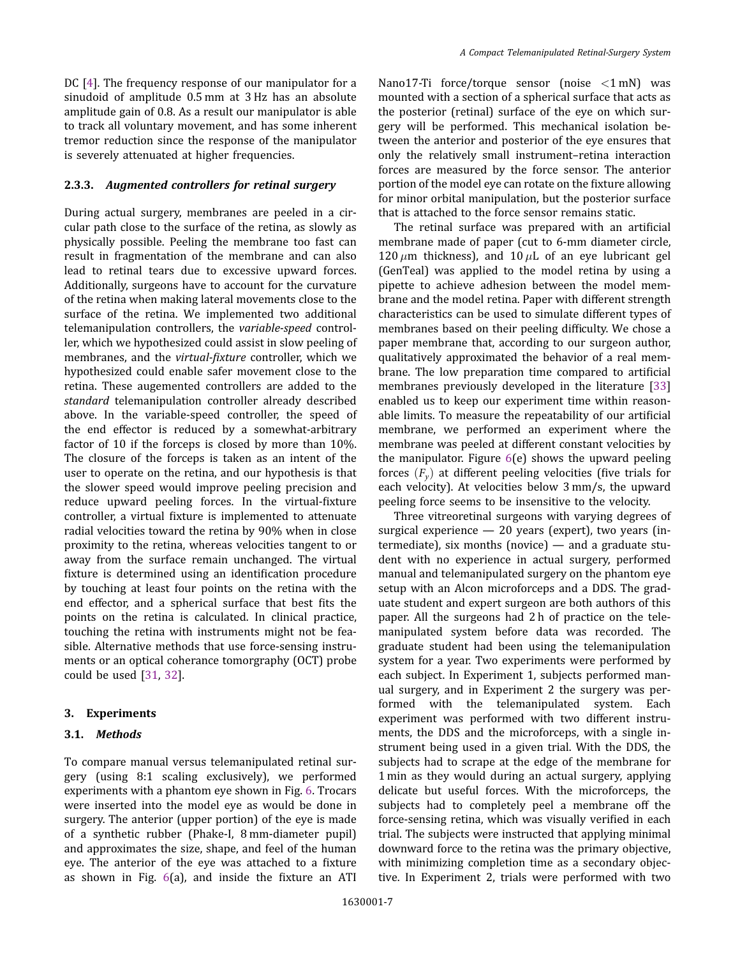<span id="page-6-0"></span>DC [[4](#page-12-0)]. The frequency response of our manipulator for a sinudoid of amplitude 0.5 mm at 3 Hz has an absolute amplitude gain of 0.8. As a result our manipulator is able to track all voluntary movement, and has some inherent tremor reduction since the response of the manipulator is severely attenuated at higher frequencies.

# 2.3.3. Augmented controllers for retinal surgery

During actual surgery, membranes are peeled in a circular path close to the surface of the retina, as slowly as physically possible. Peeling the membrane too fast can result in fragmentation of the membrane and can also lead to retinal tears due to excessive upward forces. Additionally, surgeons have to account for the curvature of the retina when making lateral movements close to the surface of the retina. We implemented two additional telemanipulation controllers, the variable-speed controller, which we hypothesized could assist in slow peeling of membranes, and the virtual-fixture controller, which we hypothesized could enable safer movement close to the retina. These augemented controllers are added to the standard telemanipulation controller already described above. In the variable-speed controller, the speed of the end effector is reduced by a somewhat-arbitrary factor of 10 if the forceps is closed by more than 10%. The closure of the forceps is taken as an intent of the user to operate on the retina, and our hypothesis is that the slower speed would improve peeling precision and reduce upward peeling forces. In the virtual-fixture controller, a virtual fixture is implemented to attenuate radial velocities toward the retina by 90% when in close proximity to the retina, whereas velocities tangent to or away from the surface remain unchanged. The virtual fixture is determined using an identification procedure by touching at least four points on the retina with the end effector, and a spherical surface that best fits the points on the retina is calculated. In clinical practice, touching the retina with instruments might not be feasible. Alternative methods that use force-sensing instruments or an optical coherance tomorgraphy (OCT) probe could be used [[31,](#page-13-0) [32](#page-13-0)].

## 3. Experiments

# 3.1. Methods

To compare manual versus telemanipulated retinal surgery (using 8:1 scaling exclusively), we performed experiments with a phantom eye shown in Fig. [6](#page-7-0). Trocars were inserted into the model eye as would be done in surgery. The anterior (upper portion) of the eye is made of a synthetic rubber (Phake-I, 8 mm-diameter pupil) and approximates the size, shape, and feel of the human eye. The anterior of the eye was attached to a fixture as shown in Fig. [6](#page-7-0)(a), and inside the fixture an ATI Nano17-Ti force/torque sensor (noise  $\langle 1 \text{ mN} \rangle$  was mounted with a section of a spherical surface that acts as the posterior (retinal) surface of the eye on which surgery will be performed. This mechanical isolation between the anterior and posterior of the eye ensures that only the relatively small instrument–retina interaction forces are measured by the force sensor. The anterior portion of the model eye can rotate on the fixture allowing for minor orbital manipulation, but the posterior surface that is attached to the force sensor remains static.

The retinal surface was prepared with an artificial membrane made of paper (cut to 6-mm diameter circle, 120  $\mu$ m thickness), and 10  $\mu$ L of an eye lubricant gel (GenTeal) was applied to the model retina by using a pipette to achieve adhesion between the model membrane and the model retina. Paper with different strength characteristics can be used to simulate different types of membranes based on their peeling difficulty. We chose a paper membrane that, according to our surgeon author, qualitatively approximated the behavior of a real membrane. The low preparation time compared to artificial membranes previously developed in the literature [[33\]](#page-13-0) enabled us to keep our experiment time within reasonable limits. To measure the repeatability of our artificial membrane, we performed an experiment where the membrane was peeled at different constant velocities by the manipulator. Figure [6\(](#page-7-0)e) shows the upward peeling forces  $(F_v)$  at different peeling velocities (five trials for each velocity). At velocities below 3 mm/s, the upward peeling force seems to be insensitive to the velocity.

Three vitreoretinal surgeons with varying degrees of surgical experience — 20 years (expert), two years (intermediate), six months (novice) — and a graduate student with no experience in actual surgery, performed manual and telemanipulated surgery on the phantom eye setup with an Alcon microforceps and a DDS. The graduate student and expert surgeon are both authors of this paper. All the surgeons had 2 h of practice on the telemanipulated system before data was recorded. The graduate student had been using the telemanipulation system for a year. Two experiments were performed by each subject. In Experiment 1, subjects performed manual surgery, and in Experiment 2 the surgery was performed with the telemanipulated system. Each experiment was performed with two different instruments, the DDS and the microforceps, with a single instrument being used in a given trial. With the DDS, the subjects had to scrape at the edge of the membrane for 1 min as they would during an actual surgery, applying delicate but useful forces. With the microforceps, the subjects had to completely peel a membrane off the force-sensing retina, which was visually verified in each trial. The subjects were instructed that applying minimal downward force to the retina was the primary objective, with minimizing completion time as a secondary objective. In Experiment 2, trials were performed with two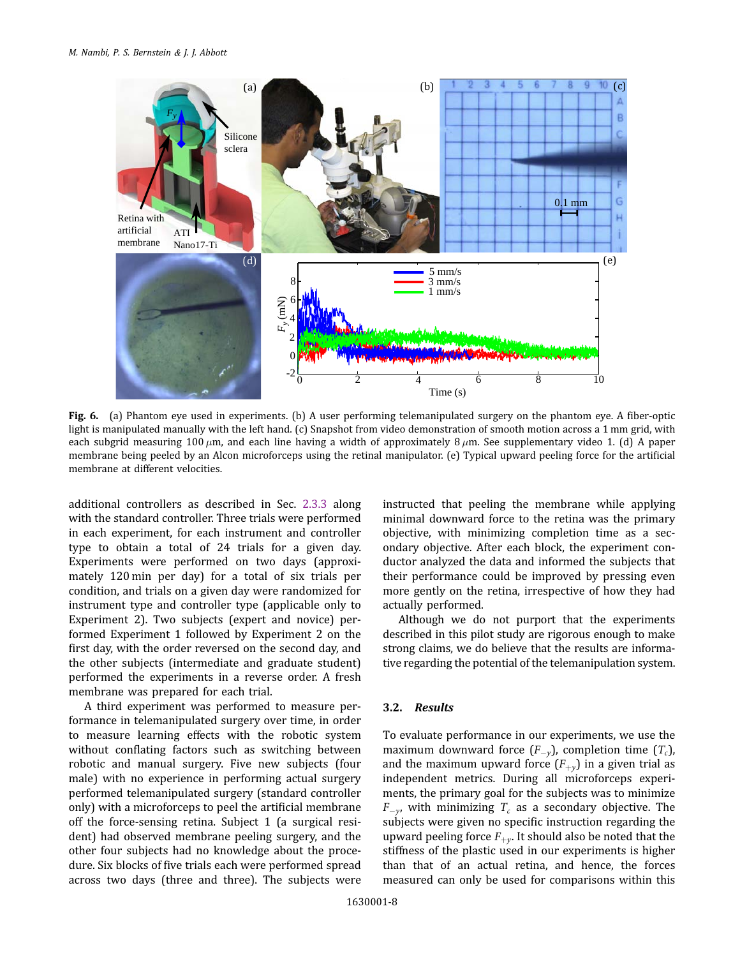<span id="page-7-0"></span>

Fig. 6. (a) Phantom eye used in experiments. (b) A user performing telemanipulated surgery on the phantom eye. A fiber-optic light is manipulated manually with the left hand. (c) Snapshot from video demonstration of smooth motion across a 1 mm grid, with each subgrid measuring 100  $\mu$ m, and each line having a width of approximately 8  $\mu$ m. See supplementary video 1. (d) A paper membrane being peeled by an Alcon microforceps using the retinal manipulator. (e) Typical upward peeling force for the artificial membrane at different velocities.

additional controllers as described in Sec. [2.3.3](#page-6-0) along with the standard controller. Three trials were performed in each experiment, for each instrument and controller type to obtain a total of 24 trials for a given day. Experiments were performed on two days (approximately 120 min per day) for a total of six trials per condition, and trials on a given day were randomized for instrument type and controller type (applicable only to Experiment 2). Two subjects (expert and novice) performed Experiment 1 followed by Experiment 2 on the first day, with the order reversed on the second day, and the other subjects (intermediate and graduate student) performed the experiments in a reverse order. A fresh membrane was prepared for each trial.

A third experiment was performed to measure performance in telemanipulated surgery over time, in order to measure learning effects with the robotic system without conflating factors such as switching between robotic and manual surgery. Five new subjects (four male) with no experience in performing actual surgery performed telemanipulated surgery (standard controller only) with a microforceps to peel the artificial membrane off the force-sensing retina. Subject 1 (a surgical resident) had observed membrane peeling surgery, and the other four subjects had no knowledge about the procedure. Six blocks of five trials each were performed spread across two days (three and three). The subjects were instructed that peeling the membrane while applying minimal downward force to the retina was the primary objective, with minimizing completion time as a secondary objective. After each block, the experiment conductor analyzed the data and informed the subjects that their performance could be improved by pressing even more gently on the retina, irrespective of how they had actually performed.

Although we do not purport that the experiments described in this pilot study are rigorous enough to make strong claims, we do believe that the results are informative regarding the potential of the telemanipulation system.

# 3.2. Results

To evaluate performance in our experiments, we use the maximum downward force  $(F_{-y})$ , completion time  $(T_c)$ , and the maximum upward force  $(F_{+\nu})$  in a given trial as independent metrics. During all microforceps experiments, the primary goal for the subjects was to minimize  $F_{-\nu}$ , with minimizing  $T_c$  as a secondary objective. The subjects were given no specific instruction regarding the upward peeling force  $F_{+\gamma}$ . It should also be noted that the stiffness of the plastic used in our experiments is higher than that of an actual retina, and hence, the forces measured can only be used for comparisons within this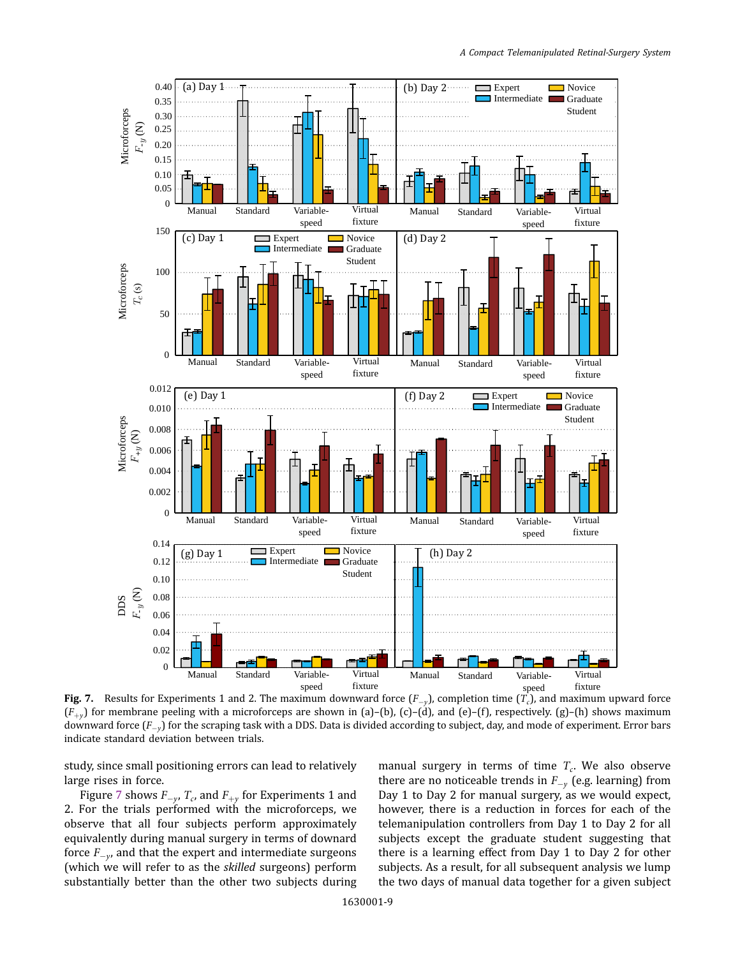<span id="page-8-0"></span>

**Fig. 7.** Results for Experiments 1 and 2. The maximum downward force  $(F_y)$ , completion time  $(T_c)$ , and maximum upward force  $(F_{+y})$  for membrane peeling with a microforceps are shown in (a)–(b), (c)–(d), and (e)–(f), respectively. (g)–(h) shows maximum downward force  $(F_{-v})$  for the scraping task with a DDS. Data is divided according to subject, day, and mode of experiment. Error bars indicate standard deviation between trials.

study, since small positioning errors can lead to relatively large rises in force.

Figure 7 shows  $F_{-\nu}$ ,  $T_c$ , and  $F_{+\nu}$  for Experiments 1 and 2. For the trials performed with the microforceps, we observe that all four subjects perform approximately equivalently during manual surgery in terms of downard force  $F_{-v}$ , and that the expert and intermediate surgeons (which we will refer to as the skilled surgeons) perform substantially better than the other two subjects during manual surgery in terms of time  $T_c$ . We also observe there are no noticeable trends in  $F_{-v}$  (e.g. learning) from Day 1 to Day 2 for manual surgery, as we would expect, however, there is a reduction in forces for each of the telemanipulation controllers from Day 1 to Day 2 for all subjects except the graduate student suggesting that there is a learning effect from Day 1 to Day 2 for other subjects. As a result, for all subsequent analysis we lump the two days of manual data together for a given subject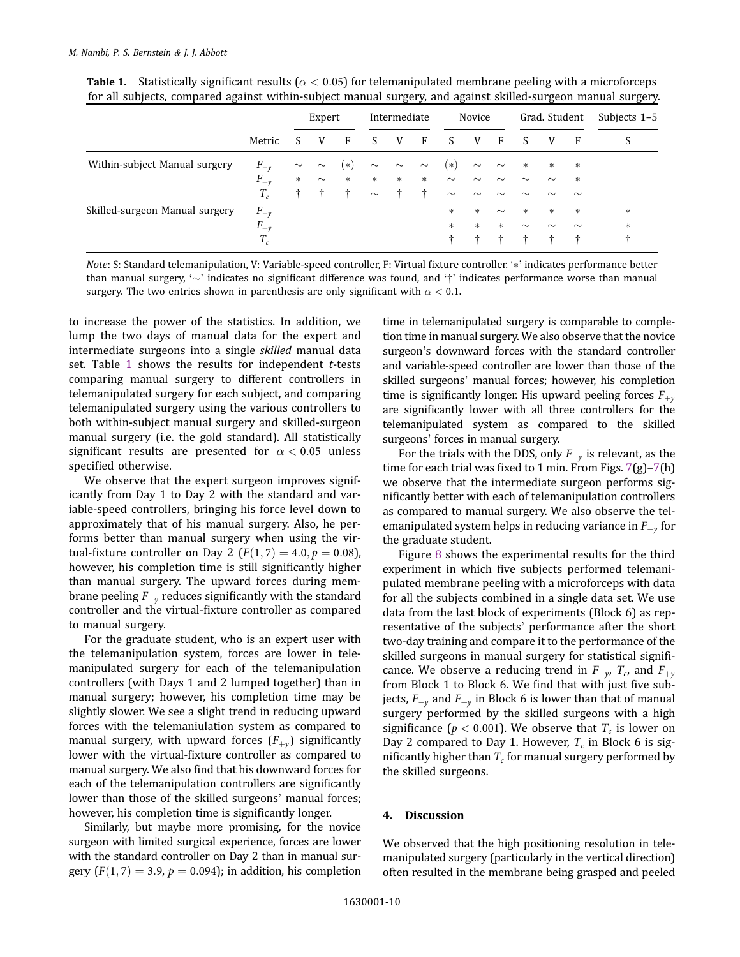|                                |               | Expert |        |        | Intermediate |        |        | Novice   |        |        | Grad. Student |          |        | Subjects 1-5 |
|--------------------------------|---------------|--------|--------|--------|--------------|--------|--------|----------|--------|--------|---------------|----------|--------|--------------|
|                                | Metric        | S      | V      | F      | S.           | V      | F      | S        | V      | F      | S             | V        | F      | S            |
| Within-subject Manual surgery  | $F_{-\nu}$    | $\sim$ | $\sim$ | $(*)$  | $\sim$       | $\sim$ | $\sim$ | $(\ast)$ | $\sim$ | $\sim$ | $\ast$        | $\ast$   | $\ast$ |              |
|                                | $F_{+\nu}$    | $*$    | $\sim$ | $\ast$ | $*$          | $*$    | $*$    | $\sim$   | $\sim$ | $\sim$ | $\sim$        | $\sim\,$ | - *    |              |
|                                | $T_c$         |        |        |        | $\sim$       | $+$    | ÷      | $\sim$   | $\sim$ | $\sim$ | $\sim$        | $\sim\,$ | $\sim$ |              |
| Skilled-surgeon Manual surgery | $F_{-\gamma}$ |        |        |        |              |        |        | $*$      | $*$    | $\sim$ | $*$           | $\ast$   | $*$    | $*$          |
|                                | $F_{+\nu}$    |        |        |        |              |        |        | $\ast$   | $*$    | $*$    | $\sim$        | $\sim$   | $\sim$ | $*$          |
|                                | $T_c$         |        |        |        |              |        |        |          |        |        |               |          |        |              |

Table 1. Statistically significant results ( $\alpha$  < 0.05) for telemanipulated membrane peeling with a microforceps for all subjects, compared against within-subject manual surgery, and against skilled-surgeon manual surgery.

Note: S: Standard telemanipulation, V: Variable-speed controller, F: Virtual fixture controller. '\*' indicates performance better than manual surgery, ' $\sim$ ' indicates no significant difference was found, and '†' indicates performance worse than manual surgery. The two entries shown in parenthesis are only significant with  $\alpha < 0.1$ .

to increase the power of the statistics. In addition, we lump the two days of manual data for the expert and intermediate surgeons into a single skilled manual data set. Table  $1$  shows the results for independent  $t$ -tests comparing manual surgery to different controllers in telemanipulated surgery for each subject, and comparing telemanipulated surgery using the various controllers to both within-subject manual surgery and skilled-surgeon manual surgery (i.e. the gold standard). All statistically significant results are presented for  $\alpha < 0.05$  unless specified otherwise.

We observe that the expert surgeon improves significantly from Day 1 to Day 2 with the standard and variable-speed controllers, bringing his force level down to approximately that of his manual surgery. Also, he performs better than manual surgery when using the virtual-fixture controller on Day 2 ( $F(1,7) = 4.0, p = 0.08$ ), however, his completion time is still significantly higher than manual surgery. The upward forces during membrane peeling  $F_{+\nu}$  reduces significantly with the standard controller and the virtual-fixture controller as compared to manual surgery.

For the graduate student, who is an expert user with the telemanipulation system, forces are lower in telemanipulated surgery for each of the telemanipulation controllers (with Days 1 and 2 lumped together) than in manual surgery; however, his completion time may be slightly slower. We see a slight trend in reducing upward forces with the telemaniulation system as compared to manual surgery, with upward forces  $(F_{+\gamma})$  significantly lower with the virtual-fixture controller as compared to manual surgery. We also find that his downward forces for each of the telemanipulation controllers are significantly lower than those of the skilled surgeons' manual forces; however, his completion time is significantly longer.

Similarly, but maybe more promising, for the novice surgeon with limited surgical experience, forces are lower with the standard controller on Day 2 than in manual surgery  $(F(1, 7) = 3.9, p = 0.094)$ ; in addition, his completion

time in telemanipulated surgery is comparable to completion time in manual surgery. We also observe that the novice surgeon's downward forces with the standard controller and variable-speed controller are lower than those of the skilled surgeons' manual forces; however, his completion time is significantly longer. His upward peeling forces  $F_{+\nu}$ are significantly lower with all three controllers for the telemanipulated system as compared to the skilled surgeons' forces in manual surgery.

For the trials with the DDS, only  $F_{-v}$  is relevant, as the time for each trial was fixed to 1 min. From Figs.  $7(g)-7(h)$  $7(g)-7(h)$ we observe that the intermediate surgeon performs significantly better with each of telemanipulation controllers as compared to manual surgery. We also observe the telemanipulated system helps in reducing variance in  $F_{y}$  for the graduate student.

Figure [8](#page-10-0) shows the experimental results for the third experiment in which five subjects performed telemanipulated membrane peeling with a microforceps with data for all the subjects combined in a single data set. We use data from the last block of experiments (Block 6) as representative of the subjects' performance after the short two-day training and compare it to the performance of the skilled surgeons in manual surgery for statistical significance. We observe a reducing trend in  $F_{-y}$ ,  $T_c$ , and  $F_{+y}$ from Block 1 to Block 6. We find that with just five subjects,  $F_{-\nu}$  and  $F_{+\nu}$  in Block 6 is lower than that of manual surgery performed by the skilled surgeons with a high significance ( $p < 0.001$ ). We observe that  $T_c$  is lower on Day 2 compared to Day 1. However,  $T_c$  in Block 6 is significantly higher than  $T_c$  for manual surgery performed by the skilled surgeons.

## 4. Discussion

We observed that the high positioning resolution in telemanipulated surgery (particularly in the vertical direction) often resulted in the membrane being grasped and peeled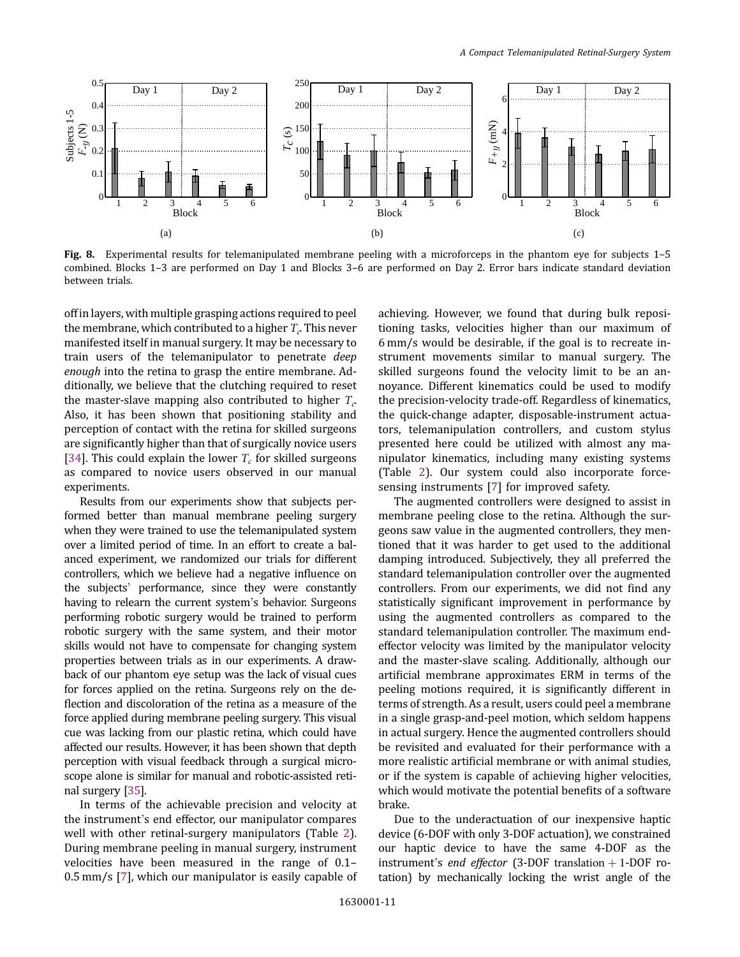<span id="page-10-0"></span>

Fig. 8. Experimental results for telemanipulated membrane peeling with a microforceps in the phantom eye for subjects 1–5 combined. Blocks 1–3 are performed on Day 1 and Blocks 3–6 are performed on Day 2. Error bars indicate standard deviation between trials.

offin layers, with multiple grasping actions required to peel the membrane, which contributed to a higher  $T_c$ . This never manifested itself in manual surgery. It may be necessary to train users of the telemanipulator to penetrate deep enough into the retina to grasp the entire membrane. Additionally, we believe that the clutching required to reset the master-slave mapping also contributed to higher  $T_c$ . Also, it has been shown that positioning stability and perception of contact with the retina for skilled surgeons are significantly higher than that of surgically novice users [\[34](#page-13-0)]. This could explain the lower  $T_c$  for skilled surgeons as compared to novice users observed in our manual experiments.

Results from our experiments show that subjects performed better than manual membrane peeling surgery when they were trained to use the telemanipulated system over a limited period of time. In an effort to create a balanced experiment, we randomized our trials for different controllers, which we believe had a negative influence on the subjects' performance, since they were constantly having to relearn the current system's behavior. Surgeons performing robotic surgery would be trained to perform robotic surgery with the same system, and their motor skills would not have to compensate for changing system properties between trials as in our experiments. A drawback of our phantom eye setup was the lack of visual cues for forces applied on the retina. Surgeons rely on the deflection and discoloration of the retina as a measure of the force applied during membrane peeling surgery. This visual cue was lacking from our plastic retina, which could have affected our results. However, it has been shown that depth perception with visual feedback through a surgical microscope alone is similar for manual and robotic-assisted retinal surgery [[35](#page-13-0)].

In terms of the achievable precision and velocity at the instrument's end effector, our manipulator compares well with other retinal-surgery manipulators (Table 2). During membrane peeling in manual surgery, instrument velocities have been measured in the range of 0.1– 0.5 mm/s [[7](#page-12-0)], which our manipulator is easily capable of achieving. However, we found that during bulk repositioning tasks, velocities higher than our maximum of 6 mm/s would be desirable, if the goal is to recreate instrument movements similar to manual surgery. The skilled surgeons found the velocity limit to be an annoyance. Different kinematics could be used to modify the precision-velocity trade-off. Regardless of kinematics, the quick-change adapter, disposable-instrument actuators, telemanipulation controllers, and custom stylus presented here could be utilized with almost any manipulator kinematics, including many existing systems (Table 2). Our system could also incorporate forcesensing instruments [\[7](#page-12-0)] for improved safety.

The augmented controllers were designed to assist in membrane peeling close to the retina. Although the surgeons saw value in the augmented controllers, they mentioned that it was harder to get used to the additional damping introduced. Subjectively, they all preferred the standard telemanipulation controller over the augmented controllers. From our experiments, we did not find any statistically significant improvement in performance by using the augmented controllers as compared to the standard telemanipulation controller. The maximum endeffector velocity was limited by the manipulator velocity and the master-slave scaling. Additionally, although our artificial membrane approximates ERM in terms of the peeling motions required, it is significantly different in terms of strength. As a result, users could peel a membrane in a single grasp-and-peel motion, which seldom happens in actual surgery. Hence the augmented controllers should be revisited and evaluated for their performance with a more realistic artificial membrane or with animal studies, or if the system is capable of achieving higher velocities, which would motivate the potential benefits of a software brake.

Due to the underactuation of our inexpensive haptic device (6-DOF with only 3-DOF actuation), we constrained our haptic device to have the same 4-DOF as the instrument's end effector (3-DOF translation  $+$  1-DOF rotation) by mechanically locking the wrist angle of the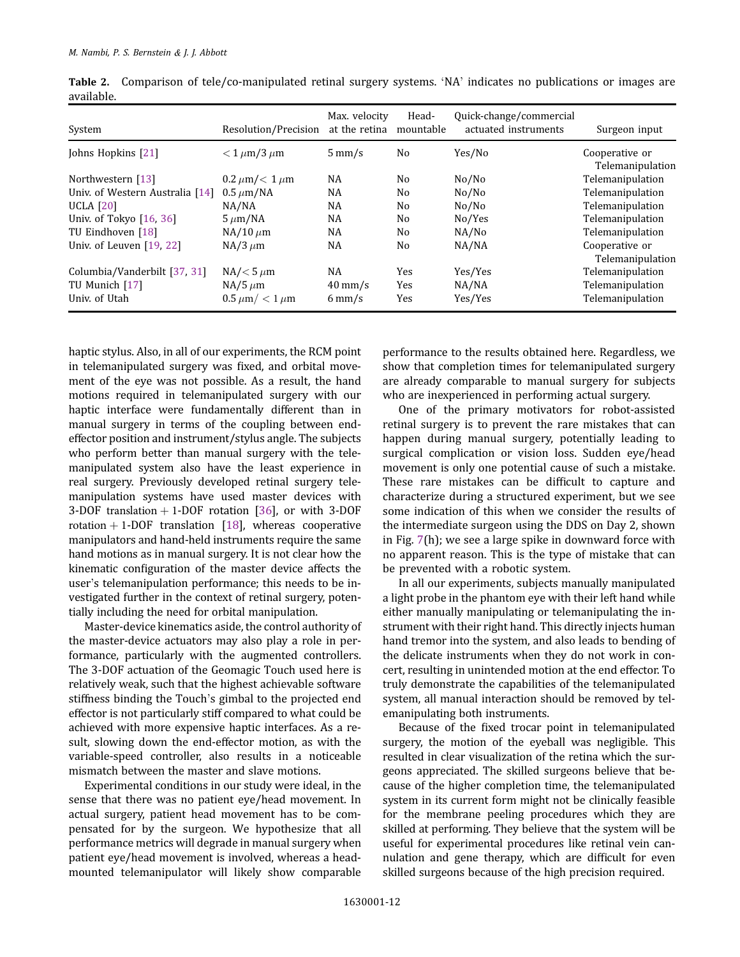| System                          | Resolution/Precision        | Max. velocity<br>at the retina | Head-<br>mountable | Quick-change/commercial<br>actuated instruments | Surgeon input                      |
|---------------------------------|-----------------------------|--------------------------------|--------------------|-------------------------------------------------|------------------------------------|
| Johns Hopkins [21]              | $<$ 1 $\mu$ m/3 $\mu$ m     | $5 \text{ mm/s}$               | No                 | Yes/No                                          | Cooperative or<br>Telemanipulation |
| Northwestern [13]               | $0.2 \ \mu m / < 1 \ \mu m$ | NA                             | No                 | No/No                                           | Telemanipulation                   |
| Univ. of Western Australia [14] | $0.5 \mu m/NA$              | <b>NA</b>                      | No                 | No/No                                           | Telemanipulation                   |
| <b>UCLA</b> [20]                | NA/NA                       | <b>NA</b>                      | No                 | No/No                                           | Telemanipulation                   |
| Univ. of Tokyo $[16, 36]$       | $5 \mu m/NA$                | NA                             | No                 | No/Yes                                          | Telemanipulation                   |
| TU Eindhoven [18]               | $NA/10 \mu m$               | NA                             | No                 | NA/No                                           | Telemanipulation                   |
| Univ. of Leuven [19, 22]        | $NA/3 \mu m$                | <b>NA</b>                      | No                 | NA/NA                                           | Cooperative or<br>Telemanipulation |
| Columbia/Vanderbilt [37, 31]    | $NA/< 5 \mu m$              | NA                             | Yes                | Yes/Yes                                         | Telemanipulation                   |
| TU Munich [17]                  | $NA/5 \mu m$                | $40 \text{ mm/s}$              | Yes                | NA/NA                                           | Telemanipulation                   |
| Univ. of Utah                   | $0.5 \ \mu m / < 1 \ \mu m$ | $6 \,\mathrm{mm/s}$            | Yes                | Yes/Yes                                         | Telemanipulation                   |

Table 2. Comparison of tele/co-manipulated retinal surgery systems. 'NA' indicates no publications or images are available.

haptic stylus. Also, in all of our experiments, the RCM point in telemanipulated surgery was fixed, and orbital movement of the eye was not possible. As a result, the hand motions required in telemanipulated surgery with our haptic interface were fundamentally different than in manual surgery in terms of the coupling between endeffector position and instrument/stylus angle. The subjects who perform better than manual surgery with the telemanipulated system also have the least experience in real surgery. Previously developed retinal surgery telemanipulation systems have used master devices with 3-DOF translation  $+$  1-DOF rotation [\[36](#page-13-0)], or with 3-DOF rotation  $+1$ -DOF translation [\[18](#page-12-0)], whereas cooperative manipulators and hand-held instruments require the same hand motions as in manual surgery. It is not clear how the kinematic configuration of the master device affects the user's telemanipulation performance; this needs to be investigated further in the context of retinal surgery, potentially including the need for orbital manipulation.

Master-device kinematics aside, the control authority of the master-device actuators may also play a role in performance, particularly with the augmented controllers. The 3-DOF actuation of the Geomagic Touch used here is relatively weak, such that the highest achievable software stiffness binding the Touch's gimbal to the projected end effector is not particularly stiff compared to what could be achieved with more expensive haptic interfaces. As a result, slowing down the end-effector motion, as with the variable-speed controller, also results in a noticeable mismatch between the master and slave motions.

Experimental conditions in our study were ideal, in the sense that there was no patient eye/head movement. In actual surgery, patient head movement has to be compensated for by the surgeon. We hypothesize that all performance metrics will degrade in manual surgery when patient eye/head movement is involved, whereas a headmounted telemanipulator will likely show comparable performance to the results obtained here. Regardless, we show that completion times for telemanipulated surgery are already comparable to manual surgery for subjects who are inexperienced in performing actual surgery.

One of the primary motivators for robot-assisted retinal surgery is to prevent the rare mistakes that can happen during manual surgery, potentially leading to surgical complication or vision loss. Sudden eye/head movement is only one potential cause of such a mistake. These rare mistakes can be difficult to capture and characterize during a structured experiment, but we see some indication of this when we consider the results of the intermediate surgeon using the DDS on Day 2, shown in Fig. [7](#page-8-0)(h); we see a large spike in downward force with no apparent reason. This is the type of mistake that can be prevented with a robotic system.

In all our experiments, subjects manually manipulated a light probe in the phantom eye with their left hand while either manually manipulating or telemanipulating the instrument with their right hand. This directly injects human hand tremor into the system, and also leads to bending of the delicate instruments when they do not work in concert, resulting in unintended motion at the end effector. To truly demonstrate the capabilities of the telemanipulated system, all manual interaction should be removed by telemanipulating both instruments.

Because of the fixed trocar point in telemanipulated surgery, the motion of the eyeball was negligible. This resulted in clear visualization of the retina which the surgeons appreciated. The skilled surgeons believe that because of the higher completion time, the telemanipulated system in its current form might not be clinically feasible for the membrane peeling procedures which they are skilled at performing. They believe that the system will be useful for experimental procedures like retinal vein cannulation and gene therapy, which are difficult for even skilled surgeons because of the high precision required.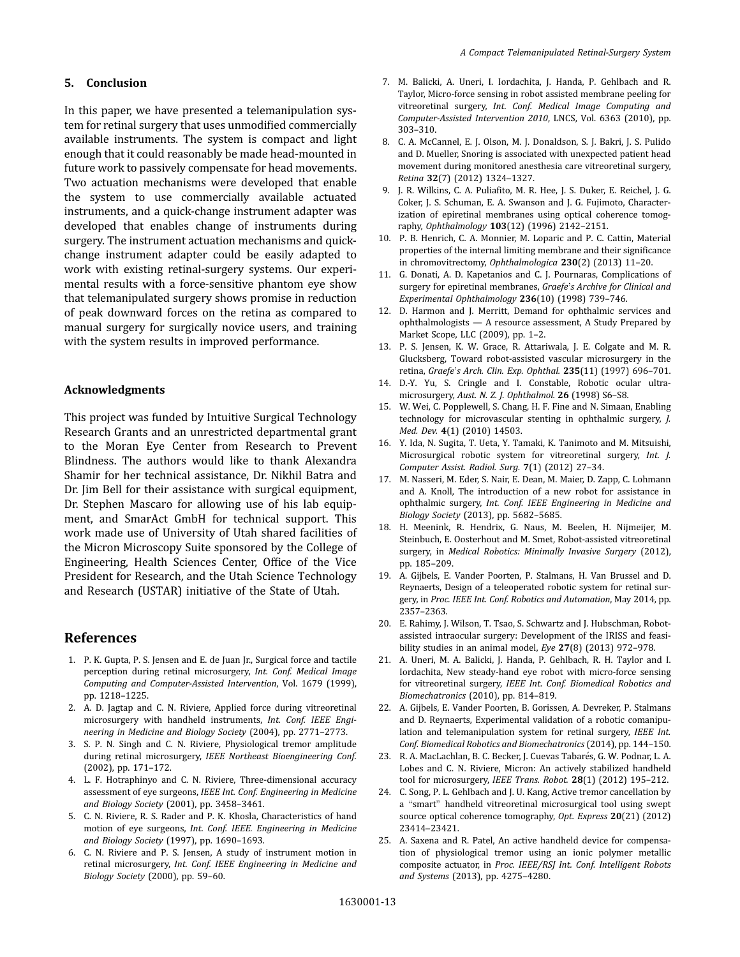# <span id="page-12-0"></span>5. Conclusion

In this paper, we have presented a telemanipulation system for retinal surgery that uses unmodified commercially available instruments. The system is compact and light enough that it could reasonably be made head-mounted in future work to passively compensate for head movements. Two actuation mechanisms were developed that enable the system to use commercially available actuated instruments, and a quick-change instrument adapter was developed that enables change of instruments during surgery. The instrument actuation mechanisms and quickchange instrument adapter could be easily adapted to work with existing retinal-surgery systems. Our experimental results with a force-sensitive phantom eye show that telemanipulated surgery shows promise in reduction of peak downward forces on the retina as compared to manual surgery for surgically novice users, and training with the system results in improved performance.

## Acknowledgments

This project was funded by Intuitive Surgical Technology Research Grants and an unrestricted departmental grant to the Moran Eye Center from Research to Prevent Blindness. The authors would like to thank Alexandra Shamir for her technical assistance, Dr. Nikhil Batra and Dr. Jim Bell for their assistance with surgical equipment, Dr. Stephen Mascaro for allowing use of his lab equipment, and SmarAct GmbH for technical support. This work made use of University of Utah shared facilities of the Micron Microscopy Suite sponsored by the College of Engineering, Health Sciences Center, Office of the Vice President for Research, and the Utah Science Technology and Research (USTAR) initiative of the State of Utah.

# References

- 1. P. K. Gupta, P. S. Jensen and E. de Juan Jr., Surgical force and tactile perception during retinal microsurgery, Int. Conf. Medical Image Computing and Computer-Assisted Intervention, Vol. 1679 (1999), pp. 1218–1225.
- 2. A. D. Jagtap and C. N. Riviere, Applied force during vitreoretinal microsurgery with handheld instruments, Int. Conf. IEEE Engineering in Medicine and Biology Society (2004), pp. 2771–2773.
- 3. S. P. N. Singh and C. N. Riviere, Physiological tremor amplitude during retinal microsurgery, IEEE Northeast Bioengineering Conf. (2002), pp. 171–172.
- 4. L. F. Hotraphinyo and C. N. Riviere, Three-dimensional accuracy assessment of eye surgeons, IEEE Int. Conf. Engineering in Medicine and Biology Society (2001), pp. 3458–3461.
- 5. C. N. Riviere, R. S. Rader and P. K. Khosla, Characteristics of hand motion of eye surgeons, Int. Conf. IEEE. Engineering in Medicine and Biology Society (1997), pp. 1690–1693.
- 6. C. N. Riviere and P. S. Jensen, A study of instrument motion in retinal microsurgery, Int. Conf. IEEE Engineering in Medicine and Biology Society (2000), pp. 59–60.
- 7. M. Balicki, A. Uneri, I. Iordachita, J. Handa, P. Gehlbach and R. Taylor, Micro-force sensing in robot assisted membrane peeling for vitreoretinal surgery, Int. Conf. Medical Image Computing and Computer-Assisted Intervention 2010, LNCS, Vol. 6363 (2010), pp. 303–310.
- 8. C. A. McCannel, E. J. Olson, M. J. Donaldson, S. J. Bakri, J. S. Pulido and D. Mueller, Snoring is associated with unexpected patient head movement during monitored anesthesia care vitreoretinal surgery, Retina 32(7) (2012) 1324–1327.
- 9. J. R. Wilkins, C. A. Puliafito, M. R. Hee, J. S. Duker, E. Reichel, J. G. Coker, J. S. Schuman, E. A. Swanson and J. G. Fujimoto, Characterization of epiretinal membranes using optical coherence tomography, Ophthalmology 103(12) (1996) 2142–2151.
- 10. P. B. Henrich, C. A. Monnier, M. Loparic and P. C. Cattin, Material properties of the internal limiting membrane and their significance in chromovitrectomy, Ophthalmologica 230(2) (2013) 11–20.
- 11. G. Donati, A. D. Kapetanios and C. J. Pournaras, Complications of surgery for epiretinal membranes, Graefe's Archive for Clinical and Experimental Ophthalmology 236(10) (1998) 739–746.
- 12. D. Harmon and J. Merritt, Demand for ophthalmic services and ophthalmologists — A resource assessment, A Study Prepared by Market Scope, LLC (2009), pp. 1–2.
- 13. P. S. Jensen, K. W. Grace, R. Attariwala, J. E. Colgate and M. R. Glucksberg, Toward robot-assisted vascular microsurgery in the retina, Graefe's Arch. Clin. Exp. Ophthal. 235(11) (1997) 696–701.
- 14. D.-Y. Yu, S. Cringle and I. Constable, Robotic ocular ultramicrosurgery, Aust. N. Z. J. Ophthalmol. 26 (1998) S6–S8.
- 15. W. Wei, C. Popplewell, S. Chang, H. F. Fine and N. Simaan, Enabling technology for microvascular stenting in ophthalmic surgery, J. Med. Dev. 4(1) (2010) 14503.
- 16. Y. Ida, N. Sugita, T. Ueta, Y. Tamaki, K. Tanimoto and M. Mitsuishi, Microsurgical robotic system for vitreoretinal surgery, Int. J. Computer Assist. Radiol. Surg. 7(1) (2012) 27–34.
- 17. M. Nasseri, M. Eder, S. Nair, E. Dean, M. Maier, D. Zapp, C. Lohmann and A. Knoll, The introduction of a new robot for assistance in ophthalmic surgery, Int. Conf. IEEE Engineering in Medicine and Biology Society (2013), pp. 5682–5685.
- 18. H. Meenink, R. Hendrix, G. Naus, M. Beelen, H. Nijmeijer, M. Steinbuch, E. Oosterhout and M. Smet, Robot-assisted vitreoretinal surgery, in Medical Robotics: Minimally Invasive Surgery (2012), pp. 185–209.
- 19. A. Gijbels, E. Vander Poorten, P. Stalmans, H. Van Brussel and D. Reynaerts, Design of a teleoperated robotic system for retinal surgery, in Proc. IEEE Int. Conf. Robotics and Automation, May 2014, pp. 2357–2363.
- 20. E. Rahimy, J. Wilson, T. Tsao, S. Schwartz and J. Hubschman, Robotassisted intraocular surgery: Development of the IRISS and feasibility studies in an animal model, Eye 27(8) (2013) 972–978.
- 21. A. Uneri, M. A. Balicki, J. Handa, P. Gehlbach, R. H. Taylor and I. Iordachita, New steady-hand eye robot with micro-force sensing for vitreoretinal surgery, IEEE Int. Conf. Biomedical Robotics and Biomechatronics (2010), pp. 814–819.
- 22. A. Gijbels, E. Vander Poorten, B. Gorissen, A. Devreker, P. Stalmans and D. Reynaerts, Experimental validation of a robotic comanipulation and telemanipulation system for retinal surgery, IEEE Int. Conf. Biomedical Robotics and Biomechatronics (2014), pp. 144–150.
- 23. R. A. MacLachlan, B. C. Becker, J. Cuevas Tabarés, G. W. Podnar, L. A. Lobes and C. N. Riviere, Micron: An actively stabilized handheld tool for microsurgery, IEEE Trans. Robot. 28(1) (2012) 195–212.
- 24. C. Song, P. L. Gehlbach and J. U. Kang, Active tremor cancellation by a "smart" handheld vitreoretinal microsurgical tool using swept source optical coherence tomography, Opt. Express 20(21) (2012) 23414–23421.
- 25. A. Saxena and R. Patel, An active handheld device for compensation of physiological tremor using an ionic polymer metallic composite actuator, in Proc. IEEE/RSJ Int. Conf. Intelligent Robots and Systems (2013), pp. 4275–4280.